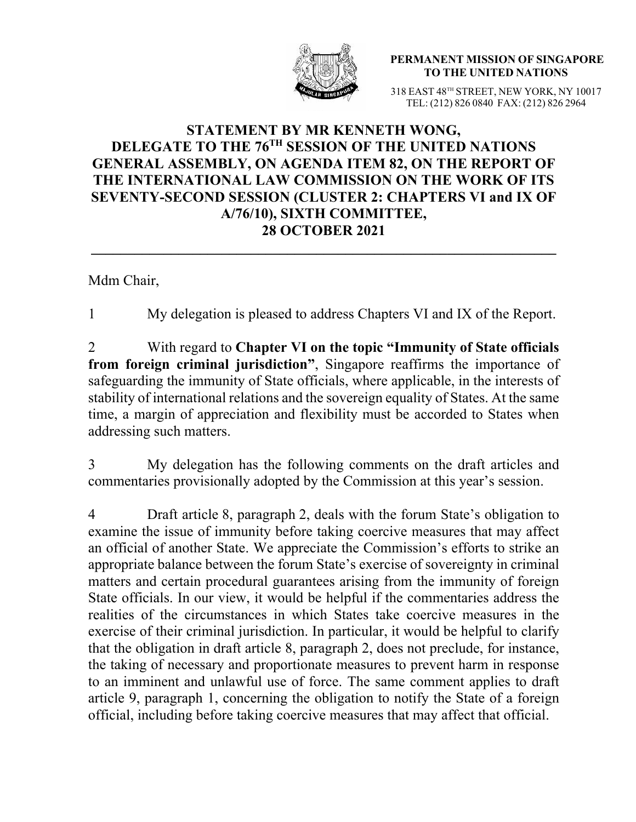

**PERMANENT MISSION OF SINGAPORE TO THE UNITED NATIONS**

318 EAST 48TH STREET, NEW YORK, NY 10017 TEL: (212) 826 0840 FAX: (212) 826 2964

## **STATEMENT BY MR KENNETH WONG, DELEGATE TO THE 76TH SESSION OF THE UNITED NATIONS GENERAL ASSEMBLY, ON AGENDA ITEM 82, ON THE REPORT OF THE INTERNATIONAL LAW COMMISSION ON THE WORK OF ITS SEVENTY-SECOND SESSION (CLUSTER 2: CHAPTERS VI and IX OF A/76/10), SIXTH COMMITTEE, 28 OCTOBER 2021**

Mdm Chair,

1 My delegation is pleased to address Chapters VI and IX of the Report.

2 With regard to **Chapter VI on the topic "Immunity of State officials from foreign criminal jurisdiction"**, Singapore reaffirms the importance of safeguarding the immunity of State officials, where applicable, in the interests of stability of international relations and the sovereign equality of States. At the same time, a margin of appreciation and flexibility must be accorded to States when addressing such matters.

3 My delegation has the following comments on the draft articles and commentaries provisionally adopted by the Commission at this year's session.

4 Draft article 8, paragraph 2, deals with the forum State's obligation to examine the issue of immunity before taking coercive measures that may affect an official of another State. We appreciate the Commission's efforts to strike an appropriate balance between the forum State's exercise of sovereignty in criminal matters and certain procedural guarantees arising from the immunity of foreign State officials. In our view, it would be helpful if the commentaries address the realities of the circumstances in which States take coercive measures in the exercise of their criminal jurisdiction. In particular, it would be helpful to clarify that the obligation in draft article 8, paragraph 2, does not preclude, for instance, the taking of necessary and proportionate measures to prevent harm in response to an imminent and unlawful use of force. The same comment applies to draft article 9, paragraph 1, concerning the obligation to notify the State of a foreign official, including before taking coercive measures that may affect that official.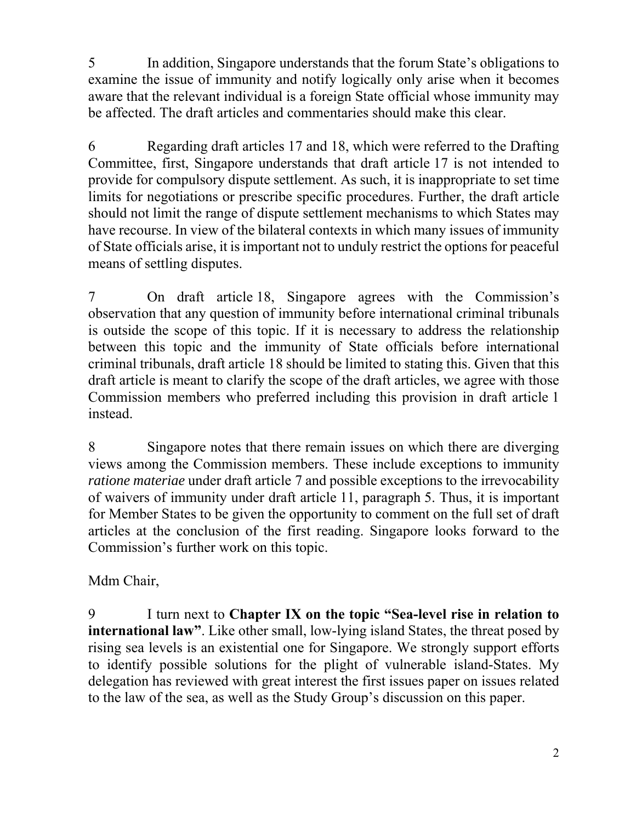5 In addition, Singapore understands that the forum State's obligations to examine the issue of immunity and notify logically only arise when it becomes aware that the relevant individual is a foreign State official whose immunity may be affected. The draft articles and commentaries should make this clear.

6 Regarding draft articles 17 and 18, which were referred to the Drafting Committee, first, Singapore understands that draft article 17 is not intended to provide for compulsory dispute settlement. As such, it is inappropriate to set time limits for negotiations or prescribe specific procedures. Further, the draft article should not limit the range of dispute settlement mechanisms to which States may have recourse. In view of the bilateral contexts in which many issues of immunity of State officials arise, it is important not to unduly restrict the options for peaceful means of settling disputes.

7 On draft article 18, Singapore agrees with the Commission's observation that any question of immunity before international criminal tribunals is outside the scope of this topic. If it is necessary to address the relationship between this topic and the immunity of State officials before international criminal tribunals, draft article 18 should be limited to stating this. Given that this draft article is meant to clarify the scope of the draft articles, we agree with those Commission members who preferred including this provision in draft article 1 instead.

8 Singapore notes that there remain issues on which there are diverging views among the Commission members. These include exceptions to immunity *ratione materiae* under draft article 7 and possible exceptions to the irrevocability of waivers of immunity under draft article 11, paragraph 5. Thus, it is important for Member States to be given the opportunity to comment on the full set of draft articles at the conclusion of the first reading. Singapore looks forward to the Commission's further work on this topic.

Mdm Chair,

9 I turn next to **Chapter IX on the topic "Sea-level rise in relation to international law"**. Like other small, low-lying island States, the threat posed by rising sea levels is an existential one for Singapore. We strongly support efforts to identify possible solutions for the plight of vulnerable island-States. My delegation has reviewed with great interest the first issues paper on issues related to the law of the sea, as well as the Study Group's discussion on this paper.